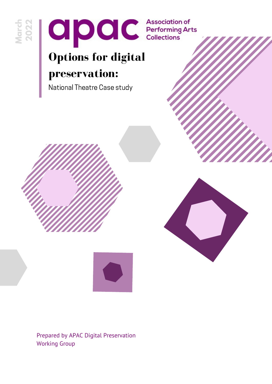



## **Options for digital preservation:**

National Theatre Case study





Prepared by APAC Digital Preservation Working Group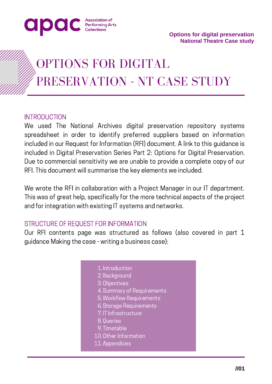

## OPTIONS FOR DIGITAL PRESERVATION - NT CASE STUDY

#### **INTRODUCTION**

We used The National Archives digital preservation repository systems spreadsheet in order to identify preferred suppliers based on information included in our Request for Information (RFI) document. A link to this guidance is included in Digital Preservation Series Part 2: Options for Digital Preservation. Due to commercial sensitivity we are unable to provide a complete copy of our RFI. This document will summarise the key elements we included.

We wrote the RFI in collaboration with a Project Manager in our IT department. This was of great help, specifically for the more technical aspects of the project and for integration with existing IT systems and networks.

#### STRUCTURE OF REQUEST FOR INFORMATION

Our RFI contents page was structured as follows (also covered in part 1 guidance Making the case - writing a business case):

- 1. Introduction
- 2. Background
- 3. Objectives
- 4. Summary of Requirements
- Workflow Requirements 5.
- Storage Requirements 6.
- 7.IT Infrastructure
- 8. Queries
- 9. Timetable
- 10. Other Information
- 11. Appendices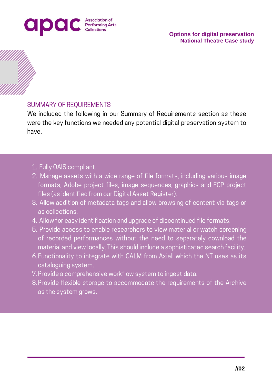



#### SUMMARY OF REQUIREMENTS

We included the following in our Summary of Requirements section as these were the key functions we needed any potential digital preservation system to have.

- 1. Fully OAIS compliant.
- 2. Manage assets with a wide range of file formats, including various image formats, Adobe project files, image sequences, graphics and FCP project files (as identified from our Digital Asset Register).
- Allow addition of metadata tags and allow browsing of content via tags or 3. as collections.
- Allow for easy identification and upgrade of discontinued file formats. 4.
- 5. Provide access to enable researchers to view material or watch screening of recorded performances without the need to separately download the material and view locally. This should include a sophisticated search facility.
- Functionality to integrate with CALM from Axiell which the NT uses as its 6. cataloguing system.
- Provide a comprehensive workflow system to ingest data. 7.
- 8. Provide flexible storage to accommodate the requirements of the Archive as the system grows.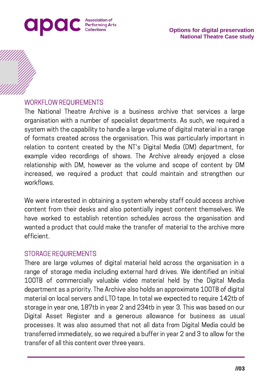

#### WORKFLOW REQUIREMENTS

The National Theatre Archive is a business archive that services a large organisation with a number of specialist departments. As such, we required a system with the capability to handle a large volume of digital material in a range of formats created across the organisation. This was particularly important in relation to content created by the NT's Digital Media (DM) department, for example video recordings of shows. The Archive already enjoyed a close relationship with DM, however as the volume and scope of content by DM increased, we required a product that could maintain and strengthen our workflows.

We were interested in obtaining a system whereby staff could access archive content from their desks and also potentially ingest content themselves. We have worked to establish retention schedules across the organisation and wanted a product that could make the transfer of material to the archive more efficient.

#### STORAGE REQUIREMENTS

There are large volumes of digital material held across the organisation in a range of storage media including external hard drives. We identified an initial 100TB of commercially valuable video material held by the Digital Media department as a priority. The Archive also holds an approximate 100TB of digital material on local servers and LTO tape. In total we expected to require 142tb of storage in year one, 187tb in year 2 and 234tb in year 3. This was based on our Digital Asset Register and a generous allowance for business as usual processes. It was also assumed that not all data from Digital Media could be transferred immediately, so we required a buffer in year 2 and 3 to allow for the transfer of all this content over three years.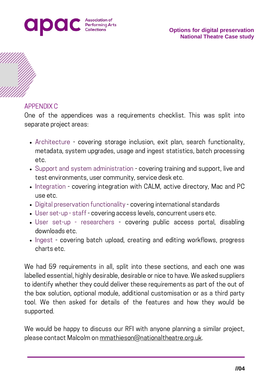



#### APPENDIX C

One of the appendices was a requirements checklist. This was split into separate project areas:

- Architecture covering storage inclusion, exit plan, search functionality, metadata, system upgrades, usage and ingest statistics, batch processing etc.
- Support and system administration covering training and support, live and test environments, user community, service desk etc.
- Integration covering integration with CALM, active directory, Mac and PC use etc.
- Digital preservation functionality covering international standards
- User set-up staff covering access levels, concurrent users etc.
- User set-up researchers covering public access portal, disabling downloads etc.
- Ingest covering batch upload, creating and editing workflows, progress charts etc.

We had 59 requirements in all, split into these sections, and each one was labelled essential, highly desirable, desirable or nice to have. We asked suppliers to identify whether they could deliver these requirements as part of the out of the box solution, optional module, additional customisation or as a third party tool. We then asked for details of the features and how they would be supported.

We would be happy to discuss our RFI with anyone planning a similar project, please contact Malcolm on [mmathieson@nationaltheatre.org.uk.](mailto:mmathieson@nationaltheatre.org.uk)